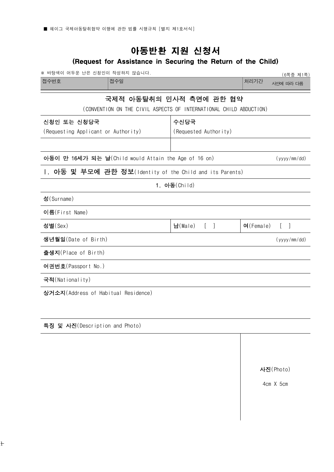## 아동반환 지원 신청서

## (Request for Assistance in Securing the Return of the Child)

| ※ 바탕색이 어두운 난은 신청인이 작성하지 않습니다.                                        |                         |                 | (6쪽중 제1쪽)    |
|----------------------------------------------------------------------|-------------------------|-----------------|--------------|
| 접수번호<br>접수일                                                          |                         | 처리기간            | 사안에 따라 다름    |
|                                                                      | 국제적 아동탈취의 민사적 측면에 관한 협약 |                 |              |
| (CONVENTION ON THE CIVIL ASPECTS OF INTERNATIONAL CHILD ABDUCTION)   |                         |                 |              |
| 신청인 또는 신청당국                                                          | 수신당국                    |                 |              |
| (Requesting Applicant or Authority)                                  | (Requested Authority)   |                 |              |
|                                                                      |                         |                 |              |
| 아동이 만 16세가 되는 날(Child would Attain the Age of 16 on)<br>(yyyy/mm/dd) |                         |                 |              |
| 1. 아동 및 부모에 관한 정보(Identity of the Child and its Parents)             |                         |                 |              |
|                                                                      | 1. 아동(Child)            |                 |              |
| 성(Surname)                                                           |                         |                 |              |
| 이름(First Name)                                                       |                         |                 |              |
| 성별(Sex)                                                              | 남(Male)<br>$\lceil$ 1   | $O($ Female $)$ |              |
| 생년월일(Date of Birth)                                                  |                         |                 | (yyyy/mm/dd) |
| 출생지(Place of Birth)                                                  |                         |                 |              |
| 여권번호(Passport No.)                                                   |                         |                 |              |
| 국적(Nationality)                                                      |                         |                 |              |
| 상거소지(Address of Habitual Residence)                                  |                         |                 |              |
|                                                                      |                         |                 |              |

특징 및 사진(Description and Photo)

사진(Photo)

4cm X 5cm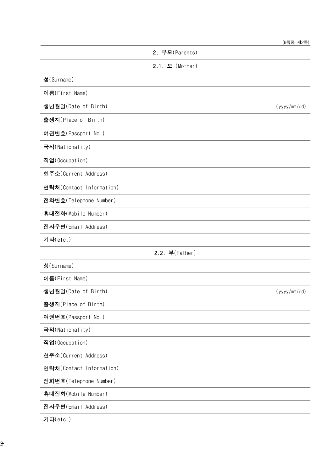|                          |                   | (6쪽중 제2쪽)    |
|--------------------------|-------------------|--------------|
|                          | 2. 부모(Parents)    |              |
|                          | $2.1.$ 모 (Mother) |              |
| 성(Surname)               |                   |              |
| 이름(First Name)           |                   |              |
| 생년월일(Date of Birth)      |                   | (yyyy/mm/dd) |
| 출생지(Place of Birth)      |                   |              |
| 여권번호(Passport No.)       |                   |              |
| 국적(Nationality)          |                   |              |
| 직업(Occupation)           |                   |              |
| 현주소(Current Address)     |                   |              |
| 연락처(Contact Information) |                   |              |
| 전화번호(Telephone Number)   |                   |              |
| 휴대전화(Mobile Number)      |                   |              |
| 전자우편(Email Address)      |                   |              |
| 기타(etc.)                 |                   |              |
|                          | 2.2. 부(Father)    |              |
| 성(Surname)               |                   |              |
| 이름(First Name)           |                   |              |
| 생년월일(Date of Birth)      |                   | (yyyy/mm/dd) |
| 출생지(Place of Birth)      |                   |              |
| 여권번호(Passport No.)       |                   |              |
| 국적(Nationality)          |                   |              |
| 직업(Occupation)           |                   |              |
| 현주소(Current Address)     |                   |              |
| 연락처(Contact Information) |                   |              |
| 전화번호(Telephone Number)   |                   |              |
| 휴대전화(Mobile Number)      |                   |              |
| 전자우편(Email Address)      |                   |              |
|                          |                   |              |

기타(etc.)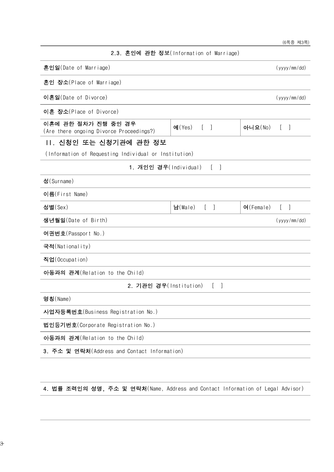|                                                                 |                                                  |                 | (6쪽중 제3쪽)                             |  |
|-----------------------------------------------------------------|--------------------------------------------------|-----------------|---------------------------------------|--|
|                                                                 | 2.3. 혼인에 관한 정보(Information of Marriage)          |                 |                                       |  |
| 혼인일(Date of Marriage)                                           |                                                  |                 | (yyyy/mm/dd)                          |  |
| 혼인 장소(Place of Marriage)                                        |                                                  |                 |                                       |  |
| 이혼일(Date of Divorce)                                            |                                                  |                 | (yyyy/mm/dd)                          |  |
| 이혼 장소(Place of Divorce)                                         |                                                  |                 |                                       |  |
| 이혼에 관한 절차가 진행 중인 경우<br>(Are there ongoing Divorce Proceedings?) | M(Yes)<br>$\begin{bmatrix} 1 & 1 \end{bmatrix}$  | 아니요(No)         | - 1<br>$\mathbf{L}$                   |  |
| 11. 신청인 또는 신청기관에 관한 정보                                          |                                                  |                 |                                       |  |
| (Information of Requesting Individual or Institution)           |                                                  |                 |                                       |  |
| 1. 개인인 경우(Individual)                                           | $\lceil \ \ \rceil$                              |                 |                                       |  |
| 성(Surname)                                                      |                                                  |                 |                                       |  |
| 이름(First Name)                                                  |                                                  |                 |                                       |  |
| 성별(Sex)                                                         | 남(Male)<br>$\begin{bmatrix} 1 & 1 \end{bmatrix}$ | $O($ Female $)$ | $\begin{bmatrix} 1 & 1 \end{bmatrix}$ |  |
| 생년월일(Date of Birth)<br>(yyyy/mm / dd)                           |                                                  |                 |                                       |  |
| 여권번호(Passport No.)                                              |                                                  |                 |                                       |  |
| 국적(Nationality)                                                 |                                                  |                 |                                       |  |
| 직업(Occupation)                                                  |                                                  |                 |                                       |  |
| 아동과의 관계(Relation to the Child)                                  |                                                  |                 |                                       |  |
| 2. 기관인 경우(Institution)                                          | T.                                               |                 |                                       |  |
| 명칭(Name)                                                        |                                                  |                 |                                       |  |
| 사업자등록번호(Business Registration No.)                              |                                                  |                 |                                       |  |
| 법인등기번호(Corporate Registration No.)                              |                                                  |                 |                                       |  |
| 아동과의 관계(Relation to the Child)                                  |                                                  |                 |                                       |  |
| 3. 주소 및 연락처(Address and Contact Information)                    |                                                  |                 |                                       |  |
|                                                                 |                                                  |                 |                                       |  |

4. 법률 조력인의 성명, 주소 및 연락처(Name, Address and Contact Information of Legal Advisor)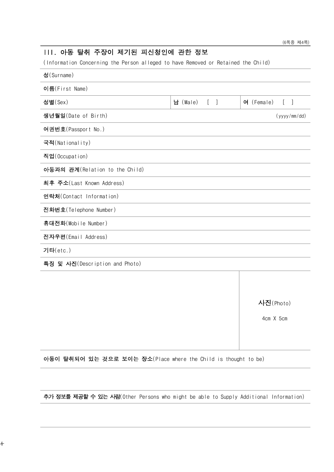# (Information Concerning the Person alleged to have Removed or Retained the Child) 성(Surname) 이름(First Name) 성별(Sex) (대한민국의 대한민국의 대한민국의 대한민국의 대한민국의 대한민국의 대한민국의 대한민국의 대한민국의 대한민국의 대한민국의 대한민국의 대한민국의 대한민국의 대한민국의 대한민국의 대한민국의 생년월일(Date of Birth) (yyyy/mm/dd) 여권번호(Passport No.) 국적(Nationality) 직업(Occupation) 아동과의 관계(Relation to the Child) 최후 주소(Last Known Address) 연락처(Contact Information) 전화번호(Telephone Number) 휴대전화(Mobile Number) 전자우편(Email Address) 기타(etc.) 특징 및 사진(Description and Photo)

III. 아동 탈취 주장이 제기된 피신청인에 관한 정보

사진(Photo)

4cm X 5cm

아동이 탈취되어 있는 것으로 보이는 장소(Place where the Child is thought to be)

추가 정보를 제공할 수 있는 사람(Other Persons who might be able to Supply Additional Information)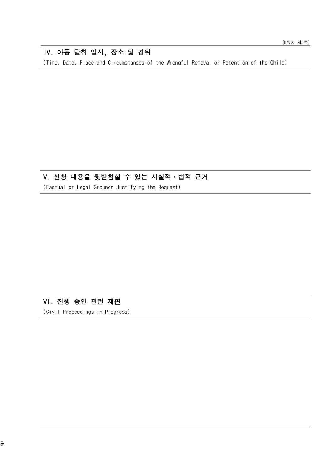## IV. 아동 탈취 일시, 장소 및 경위

(Time, Date, Place and Circumstances of the Wrongful Removal or Retention of the Child)

#### V. 신청 내용을 뒷받침할 수 있는 사실적ㆍ법적 근거

(Factual or Legal Grounds Justifying the Request)

### VI. 진행 중인 관련 재판

(Civil Proceedings in Progress)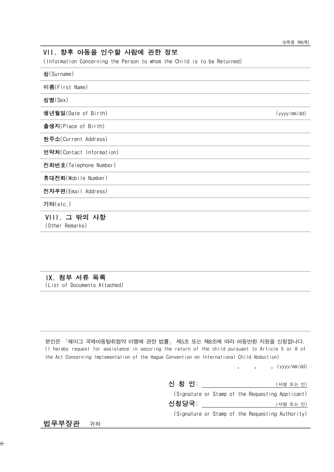## VII. 향후 아동을 인수할 사람에 관한 정보 (Information Concerning the Person to whom the Child is to be Returned) 성(Surname) 이름(First Name) 성별(Sex) 생년월일(Date of Birth) (yyyy/mm/dd) 출생지(Place of Birth) 현주소(Current Address) 연락처(Contact Information) 전화번호(Telephone Number) 휴대전화(Mobile Number) 전자우편(Email Address) 기타(etc.) VIII. 그 밖의 사항 (Other Remarks)

### IX. 첨부 서류 목록

(List of Documents Attached)

본인은 「헤이그 국제아동탈취협약 이행에 관한 법률」 제5조 또는 제8조에 따라 아동반환 지원을 신청합니다. (I hereby request for assistance in securing the return of the child pursuant to Article 5 or 8 of the Act Concerning Implementation of the Hague Convention on International Child Abduction)

. 12. 31. (yyyy/mm/dd)

| 신 청 인: |  | (서명 또는 인)                                        |  |
|--------|--|--------------------------------------------------|--|
|        |  | (Signature or Stamp of the Requesting Applicant) |  |
| 신청당국:  |  | (서명 또는 인)                                        |  |
|        |  | (Signature or Stamp of the Requesting Authority) |  |

법무부장관 귀하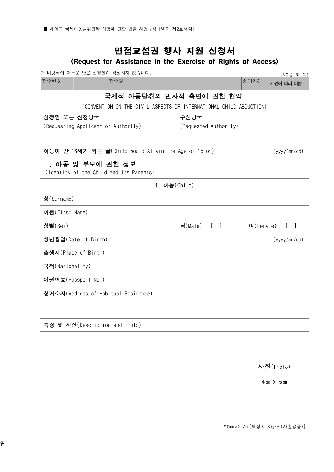## 면접교섭권 행사 지원 신청서

## (Request for Assistance in the Exercise of Rights of Access)

| ※ 바탕색이 어두운 난은 신청인이 작성하지 않습니다.                                      |                                                     |                 | (6쪽중 제1쪽)         |
|--------------------------------------------------------------------|-----------------------------------------------------|-----------------|-------------------|
| 접수번호<br>접수일                                                        |                                                     |                 | 사안에 따라 다름         |
| 국제적 아동탈취의 민사적 측면에 관한 협약                                            |                                                     |                 |                   |
| (CONVENTION ON THE CIVIL ASPECTS OF INTERNATIONAL CHILD ABDUCTION) |                                                     |                 |                   |
| 신청인 또는 신청당국                                                        | 수신당국                                                |                 |                   |
| (Requesting Applicant or Authority)                                | (Requested Authority)                               |                 |                   |
|                                                                    |                                                     |                 |                   |
| 아동이 만 16세가 되는 날(Child would Attain the Age of 16 on)               |                                                     |                 | (yyyy/mm/dd)      |
| Ⅰ. 아동 및 부모에 관한 정보<br>(Identity of the Child and its Parents)       |                                                     |                 |                   |
| 1. 아동(Child)                                                       |                                                     |                 |                   |
| 성(Surname)                                                         |                                                     |                 |                   |
| 이름(First Name)                                                     |                                                     |                 |                   |
| 성별(Sex)                                                            | 남 $(Male)$<br>$\begin{bmatrix} 1 & 1 \end{bmatrix}$ | $O($ Female $)$ | $\lceil$ $\rceil$ |
| 생년월일(Date of Birth)                                                |                                                     |                 | (yyyy/mm/dd)      |
| 출생지(Place of Birth)                                                |                                                     |                 |                   |
| 국적(Nationality)                                                    |                                                     |                 |                   |
| 여권번호(Passport No.)                                                 |                                                     |                 |                   |
| 상거소지(Address of Habitual Residence)                                |                                                     |                 |                   |
|                                                                    |                                                     |                 |                   |
|                                                                    |                                                     |                 |                   |
| 특징 및 사진(Description and Photo)                                     |                                                     |                 |                   |

사진(Photo)

4cm X 5cm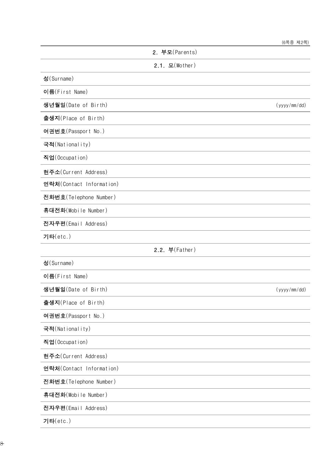|                          | (6쪽중 세2쪽)    |
|--------------------------|--------------|
| 2. 부모(Parents)           |              |
| $2.1.$ 모(Mother)         |              |
| 성(Surname)               |              |
| 이름(First Name)           |              |
| 생년월일(Date of Birth)      | (yyyy/mm/dd) |
| 출생지(Place of Birth)      |              |
| 여권번호(Passport No.)       |              |
| 국적(Nationality)          |              |
| 직업(Occupation)           |              |
| 현주소(Current Address)     |              |
| 연락처(Contact Information) |              |
| 전화번호(Telephone Number)   |              |
| 휴대전화(Mobile Number)      |              |
| 전자우편(Email Address)      |              |
| 기타(etc.)                 |              |
| 2.2. 부(Father)           |              |
| 성(Surname)               |              |
| 이름(First Name)           |              |
| 생년월일(Date of Birth)      | (yyyy/mm/dd) |
| 출생지(Place of Birth)      |              |
| 여권번호(Passport No.)       |              |
| 국적(Nationality)          |              |
| 직업(Occupation)           |              |
| 현주소(Current Address)     |              |
| 연락처(Contact Information) |              |
| 전화번호(Telephone Number)   |              |
| 휴대전화(Mobile Number)      |              |
| 전자우편(Email Address)      |              |
| 기타(etc.)                 |              |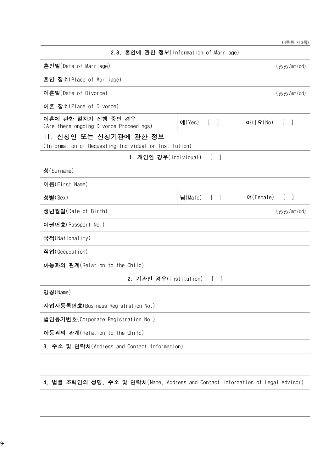|                                                                                                             | (6쪽중 제3쪽)                                    |
|-------------------------------------------------------------------------------------------------------------|----------------------------------------------|
| 2.3. 혼인에 관한 정보(Information of Marriage)                                                                     |                                              |
| 혼인일(Date of Marriage)                                                                                       | (yyyy/mm/dd)                                 |
| 혼인 장소(Place of Marriage)                                                                                    |                                              |
| 이혼일(Date of Divorce)                                                                                        | (yyyy/mm/dd)                                 |
| 이혼 장소(Place of Divorce)                                                                                     |                                              |
| 이혼에 관한 절차가 진행 중인 경우<br>$O( Y_{\text{eS}})$<br>$\lceil \; \rceil$<br>(Are there ongoing Divorce Proceedings) | 아니요(No)<br>$\begin{bmatrix} 1 \end{bmatrix}$ |
| 11. 신청인 또는 신청기관에 관한 정보                                                                                      |                                              |
| (Information of Requesting Individual or Institution)                                                       |                                              |
| 1. 개인인 경우(Individual)<br>$\Box$<br>$\mathbf{L}$                                                             |                                              |
| 성(Surname)                                                                                                  |                                              |
| 이름(First Name)                                                                                              |                                              |
| 성별(Sex)<br>남 $(Male)$<br>$\mathbb{L}$<br>$\Box$                                                             | $O($ Female $)$<br>t I                       |
| 생년월일(Date of Birth)                                                                                         | (yyyy/mm/dd)                                 |
| 여권번호(Passport No.)                                                                                          |                                              |
| 국적(Nationality)                                                                                             |                                              |
| 직업(Occupation)                                                                                              |                                              |
| 아동과의 관계(Relation to the Child)                                                                              |                                              |
| 2. 기관인 경우(Institution)<br>$\Box$                                                                            |                                              |
| 명칭(Name)                                                                                                    |                                              |
| 사업자등록번호(Business Registration No.)                                                                          |                                              |
| 법인등기번호(Corporate Registration No.)                                                                          |                                              |
| 아동과의 관계(Relation to the Child)                                                                              |                                              |
| 3. 주소 및 연락처(Address and Contact Information)                                                                |                                              |

4. 법률 조력인의 성명, 주소 및 연락처(Name, Address and Contact Information of Legal Advisor)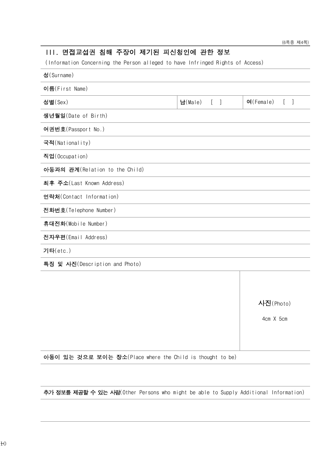### III. 면접교섭권 침해 주장이 제기된 피신청인에 관한 정보

(Information Concerning the Person alleged to have Infringed Rights of Access)

| 성(Surname)                     |                                              |                                                                 |
|--------------------------------|----------------------------------------------|-----------------------------------------------------------------|
| 이름(First Name)                 |                                              |                                                                 |
| 성별(Sex)                        | H(Male)<br>$\begin{bmatrix} 1 \end{bmatrix}$ | $O($ Female $)$<br>$\left[ \right]$<br>$\overline{\phantom{a}}$ |
| 생년월일(Date of Birth)            |                                              |                                                                 |
| 여권번호(Passport No.)             |                                              |                                                                 |
| 국적(Nationality)                |                                              |                                                                 |
| 직업(Occupation)                 |                                              |                                                                 |
| 아동과의 관계(Relation to the Child) |                                              |                                                                 |
| 최후 주소(Last Known Address)      |                                              |                                                                 |
| 연락처(Contact Information)       |                                              |                                                                 |
| 전화번호(Telephone Number)         |                                              |                                                                 |
| 휴대전화(Mobile Number)            |                                              |                                                                 |
| 전자우편(Email Address)            |                                              |                                                                 |
| 기타(etc.)                       |                                              |                                                                 |
| 특징 및 사진(Description and Photo) |                                              |                                                                 |
|                                |                                              |                                                                 |
|                                |                                              |                                                                 |
|                                |                                              | 사진(Photo)                                                       |

4cm X 5cm

아동이 있는 것으로 보이는 장소(Place where the Child is thought to be)

추가 정보를 제공할 수 있는 사람(Other Persons who might be able to Supply Additional Information)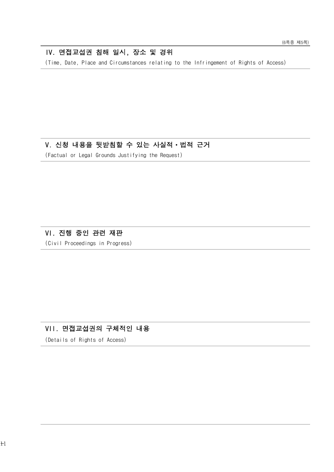#### IV. 면접교섭권 침해 일시, 장소 및 경위

(Time, Date, Place and Circumstances relating to the Infringement of Rights of Access)

### V. 신청 내용을 뒷받침할 수 있는 사실적ㆍ법적 근거

(Factual or Legal Grounds Justifying the Request)

#### VI. 진행 중인 관련 재판

(Civil Proceedings in Progress)

## VII. 면접교섭권의 구체적인 내용

(Details of Rights of Access)